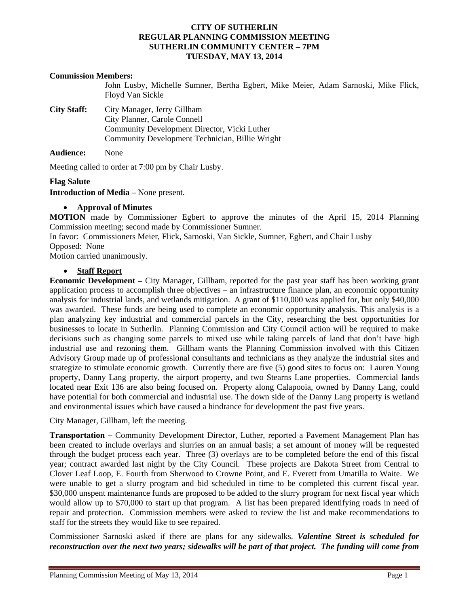# **CITY OF SUTHERLIN REGULAR PLANNING COMMISSION MEETING SUTHERLIN COMMUNITY CENTER – 7PM TUESDAY, MAY 13, 2014**

# **Commission Members:**

John Lusby, Michelle Sumner, Bertha Egbert, Mike Meier, Adam Sarnoski, Mike Flick, Floyd Van Sickle

**City Staff:** City Manager, Jerry Gillham City Planner, Carole Connell Community Development Director, Vicki Luther Community Development Technician, Billie Wright

**Audience:** None

Meeting called to order at 7:00 pm by Chair Lusby.

## **Flag Salute**

**Introduction of Media** – None present.

## **Approval of Minutes**

**MOTION** made by Commissioner Egbert to approve the minutes of the April 15, 2014 Planning Commission meeting; second made by Commissioner Sumner.

In favor: Commissioners Meier, Flick, Sarnoski, Van Sickle, Sumner, Egbert, and Chair Lusby Opposed:None

Motion carried unanimously.

## **Staff Report**

**Economic Development –** City Manager, Gillham, reported for the past year staff has been working grant application process to accomplish three objectives – an infrastructure finance plan, an economic opportunity analysis for industrial lands, and wetlands mitigation. A grant of \$110,000 was applied for, but only \$40,000 was awarded. These funds are being used to complete an economic opportunity analysis. This analysis is a plan analyzing key industrial and commercial parcels in the City, researching the best opportunities for businesses to locate in Sutherlin. Planning Commission and City Council action will be required to make decisions such as changing some parcels to mixed use while taking parcels of land that don't have high industrial use and rezoning them. Gillham wants the Planning Commission involved with this Citizen Advisory Group made up of professional consultants and technicians as they analyze the industrial sites and strategize to stimulate economic growth. Currently there are five (5) good sites to focus on: Lauren Young property, Danny Lang property, the airport property, and two Stearns Lane properties. Commercial lands located near Exit 136 are also being focused on. Property along Calapooia, owned by Danny Lang, could have potential for both commercial and industrial use. The down side of the Danny Lang property is wetland and environmental issues which have caused a hindrance for development the past five years.

City Manager, Gillham, left the meeting.

**Transportation –** Community Development Director, Luther, reported a Pavement Management Plan has been created to include overlays and slurries on an annual basis; a set amount of money will be requested through the budget process each year. Three (3) overlays are to be completed before the end of this fiscal year; contract awarded last night by the City Council. These projects are Dakota Street from Central to Clover Leaf Loop, E. Fourth from Sherwood to Crowne Point, and E. Everett from Umatilla to Waite. We were unable to get a slurry program and bid scheduled in time to be completed this current fiscal year. \$30,000 unspent maintenance funds are proposed to be added to the slurry program for next fiscal year which would allow up to \$70,000 to start up that program. A list has been prepared identifying roads in need of repair and protection. Commission members were asked to review the list and make recommendations to staff for the streets they would like to see repaired.

Commissioner Sarnoski asked if there are plans for any sidewalks. *Valentine Street is scheduled for reconstruction over the next two years; sidewalks will be part of that project. The funding will come from*